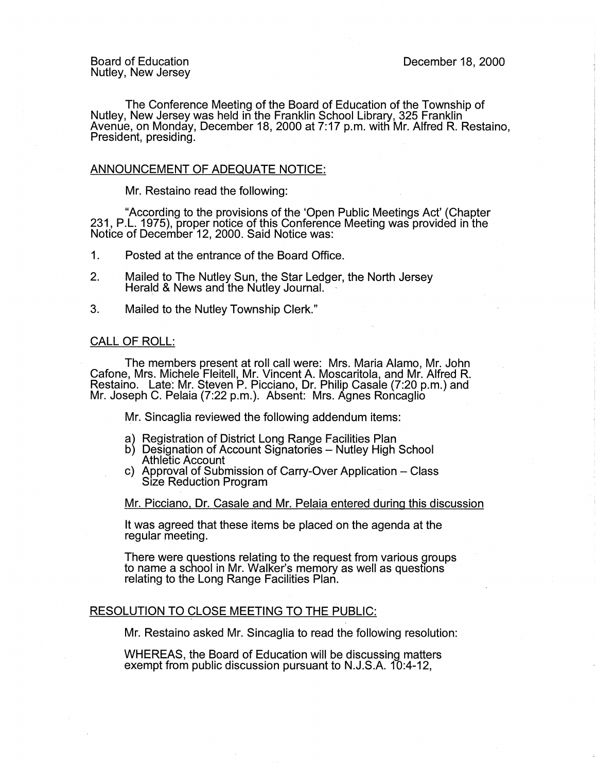The Conference Meeting of the Board of Education of the Township of Nutley, New Jersey was held in the Franklin School Library, 325 Franklin Avenue, on Monday, December 18, 2000 at 7:17 p.m. witti Mr. Alfred R. Restaino, President, presiding.

## ANNOUNCEMENT OF ADEQUATE NOTICE:

Mr. Restaino read the following:

"According to the provisions of the 'Open Public Meetings Act' (Chapter 231, P.L. 1975), proper notice of this Conference Meeting was provided in the Notice of December 12, 2000. Said Notice was:

- 1. Posted at the entrance of the Board Office.
- 2. Mailed to The Nutley Sun, the Star Ledger, the North Jersey Herald & News and the Nutley Journal.
- 3. Mailed to the Nutley Township Clerk."

## CALL OF ROLL:

The members present at roll call were: Mrs. Maria Alamo, Mr. John Cafone, Mrs. Michele Fleitell, Mr. Vincent A. Moscaritola, and Mr. Alfred R. Restaino. Late: Mr. Steven P. Picciano, Dr. Philip Casale (7:20 p.m.) and Mr. Joseph C. Pelaia (7:22 p.m.). Absent: Mrs. Agnes Roncaglio

Mr. Sincaglia reviewed the following addendum items:

- a) Registration of District Long Range Facilities Plan
- b) Designation of Account Signatories Nutley High School Athletic Account
- c) Approval of Submission of Carry-Over Application Class Size Reduction Program

Mr. Picciano, Dr. Casale and Mr. Pelaia entered during this discussion

It was agreed that these items be placed on the agenda at the regular meeting.

There were questions relating to the request from various groups to name a school in Mr. Walker's memory as well as questions relating to the Long Range Facilities Plan.

## RESOLUTION TO CLOSE MEETING TO THE PUBLIC:

Mr. Restaino asked Mr. Sincaglia to read the following resolution:

WHEREAS, the Board of Education will be discussing matters exempt from public discussion pursuant to N.J.S.A. 10:4-12,